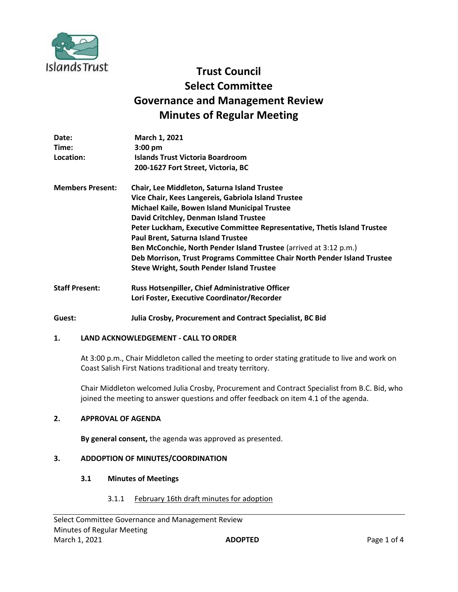

# **Trust Council Select Committee Governance and Management Review Minutes of Regular Meeting**

| Date:                   | <b>March 1, 2021</b>                                                     |
|-------------------------|--------------------------------------------------------------------------|
| Time:                   | $3:00 \text{ pm}$                                                        |
| Location:               | Islands Trust Victoria Boardroom                                         |
|                         | 200-1627 Fort Street, Victoria, BC                                       |
| <b>Members Present:</b> | Chair, Lee Middleton, Saturna Island Trustee                             |
|                         | Vice Chair, Kees Langereis, Gabriola Island Trustee                      |
|                         | Michael Kaile, Bowen Island Municipal Trustee                            |
|                         | David Critchley, Denman Island Trustee                                   |
|                         | Peter Luckham, Executive Committee Representative, Thetis Island Trustee |
|                         | Paul Brent, Saturna Island Trustee                                       |
|                         | Ben McConchie, North Pender Island Trustee (arrived at 3:12 p.m.)        |
|                         | Deb Morrison, Trust Programs Committee Chair North Pender Island Trustee |
|                         | <b>Steve Wright, South Pender Island Trustee</b>                         |
| <b>Staff Present:</b>   | Russ Hotsenpiller, Chief Administrative Officer                          |
|                         | Lori Foster, Executive Coordinator/Recorder                              |

**Guest: Julia Crosby, Procurement and Contract Specialist, BC Bid**

# **1. LAND ACKNOWLEDGEMENT - CALL TO ORDER**

At 3:00 p.m., Chair Middleton called the meeting to order stating gratitude to live and work on Coast Salish First Nations traditional and treaty territory.

Chair Middleton welcomed Julia Crosby, Procurement and Contract Specialist from B.C. Bid, who joined the meeting to answer questions and offer feedback on item 4.1 of the agenda.

# **2. APPROVAL OF AGENDA**

**By general consent,** the agenda was approved as presented.

# **3. ADDOPTION OF MINUTES/COORDINATION**

#### **3.1 Minutes of Meetings**

3.1.1 February 16th draft minutes for adoption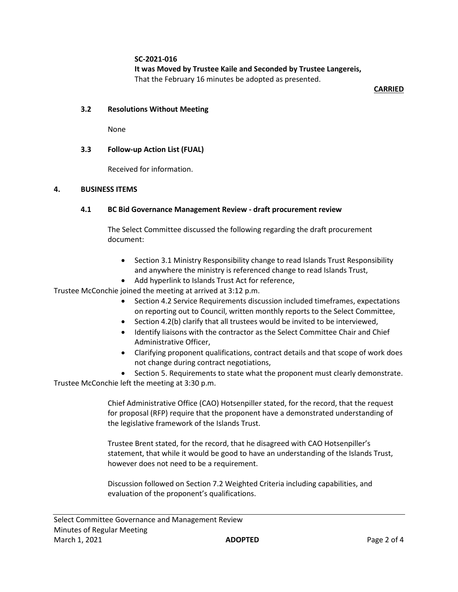**SC-2021-016**

**It was Moved by Trustee Kaile and Seconded by Trustee Langereis,** That the February 16 minutes be adopted as presented.

**CARRIED**

# **3.2 Resolutions Without Meeting**

None

# **3.3 Follow-up Action List (FUAL)**

Received for information.

#### **4. BUSINESS ITEMS**

# **4.1 BC Bid Governance Management Review - draft procurement review**

The Select Committee discussed the following regarding the draft procurement document:

- Section 3.1 Ministry Responsibility change to read Islands Trust Responsibility and anywhere the ministry is referenced change to read Islands Trust,
- Add hyperlink to Islands Trust Act for reference,

Trustee McConchie joined the meeting at arrived at 3:12 p.m.

- Section 4.2 Service Requirements discussion included timeframes, expectations on reporting out to Council, written monthly reports to the Select Committee,
- Section 4.2(b) clarify that all trustees would be invited to be interviewed,
- Identify liaisons with the contractor as the Select Committee Chair and Chief Administrative Officer,
- Clarifying proponent qualifications, contract details and that scope of work does not change during contract negotiations,
- Section 5. Requirements to state what the proponent must clearly demonstrate.

Trustee McConchie left the meeting at 3:30 p.m.

Chief Administrative Office (CAO) Hotsenpiller stated, for the record, that the request for proposal (RFP) require that the proponent have a demonstrated understanding of the legislative framework of the Islands Trust.

Trustee Brent stated, for the record, that he disagreed with CAO Hotsenpiller's statement, that while it would be good to have an understanding of the Islands Trust, however does not need to be a requirement.

Discussion followed on Section 7.2 Weighted Criteria including capabilities, and evaluation of the proponent's qualifications.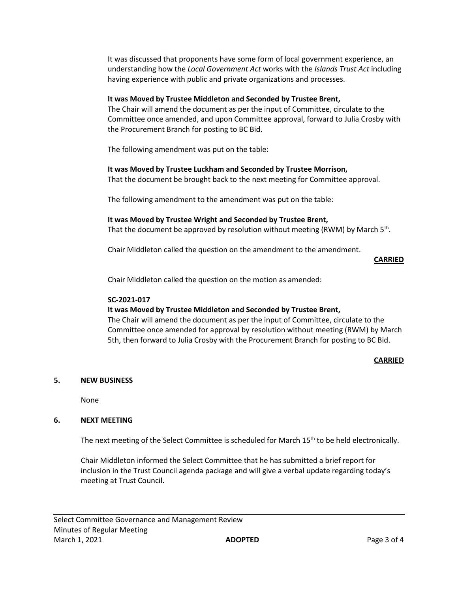It was discussed that proponents have some form of local government experience, an understanding how the *Local Government Act* works with the *Islands Trust Act* including having experience with public and private organizations and processes.

# **It was Moved by Trustee Middleton and Seconded by Trustee Brent,**

The Chair will amend the document as per the input of Committee, circulate to the Committee once amended, and upon Committee approval, forward to Julia Crosby with the Procurement Branch for posting to BC Bid.

The following amendment was put on the table:

# **It was Moved by Trustee Luckham and Seconded by Trustee Morrison,**

That the document be brought back to the next meeting for Committee approval.

The following amendment to the amendment was put on the table:

# **It was Moved by Trustee Wright and Seconded by Trustee Brent,**

That the document be approved by resolution without meeting (RWM) by March 5<sup>th</sup>.

Chair Middleton called the question on the amendment to the amendment.

**CARRIED**

Chair Middleton called the question on the motion as amended:

# **SC-2021-017**

# **It was Moved by Trustee Middleton and Seconded by Trustee Brent,**

The Chair will amend the document as per the input of Committee, circulate to the Committee once amended for approval by resolution without meeting (RWM) by March 5th, then forward to Julia Crosby with the Procurement Branch for posting to BC Bid.

# **CARRIED**

# **5. NEW BUSINESS**

None

# **6. NEXT MEETING**

The next meeting of the Select Committee is scheduled for March 15<sup>th</sup> to be held electronically.

Chair Middleton informed the Select Committee that he has submitted a brief report for inclusion in the Trust Council agenda package and will give a verbal update regarding today's meeting at Trust Council.